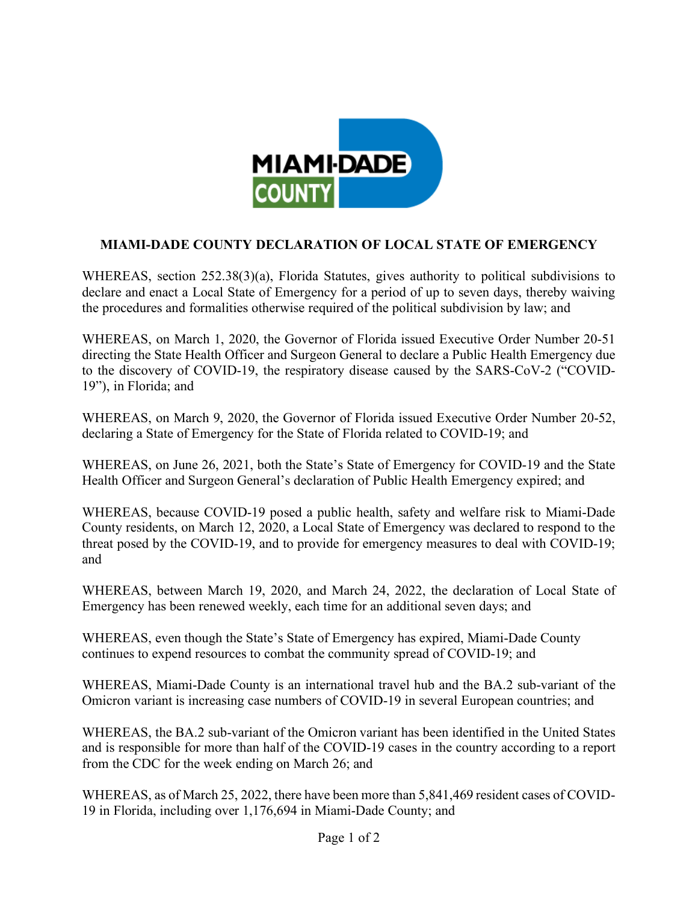

## **MIAMI-DADE COUNTY DECLARATION OF LOCAL STATE OF EMERGENCY**

WHEREAS, section 252.38(3)(a), Florida Statutes, gives authority to political subdivisions to declare and enact a Local State of Emergency for a period of up to seven days, thereby waiving the procedures and formalities otherwise required of the political subdivision by law; and

WHEREAS, on March 1, 2020, the Governor of Florida issued Executive Order Number 20-51 directing the State Health Officer and Surgeon General to declare a Public Health Emergency due to the discovery of COVID-19, the respiratory disease caused by the SARS-CoV-2 ("COVID-19"), in Florida; and

WHEREAS, on March 9, 2020, the Governor of Florida issued Executive Order Number 20-52, declaring a State of Emergency for the State of Florida related to COVID-19; and

WHEREAS, on June 26, 2021, both the State's State of Emergency for COVID-19 and the State Health Officer and Surgeon General's declaration of Public Health Emergency expired; and

WHEREAS, because COVID-19 posed a public health, safety and welfare risk to Miami-Dade County residents, on March 12, 2020, a Local State of Emergency was declared to respond to the threat posed by the COVID-19, and to provide for emergency measures to deal with COVID-19; and

WHEREAS, between March 19, 2020, and March 24, 2022, the declaration of Local State of Emergency has been renewed weekly, each time for an additional seven days; and

WHEREAS, even though the State's State of Emergency has expired, Miami-Dade County continues to expend resources to combat the community spread of COVID-19; and

WHEREAS, Miami-Dade County is an international travel hub and the BA.2 sub-variant of the Omicron variant is increasing case numbers of COVID-19 in several European countries; and

WHEREAS, the BA.2 sub-variant of the Omicron variant has been identified in the United States and is responsible for more than half of the COVID-19 cases in the country according to a report from the CDC for the week ending on March 26; and

WHEREAS, as of March 25, 2022, there have been more than 5,841,469 resident cases of COVID-19 in Florida, including over 1,176,694 in Miami-Dade County; and